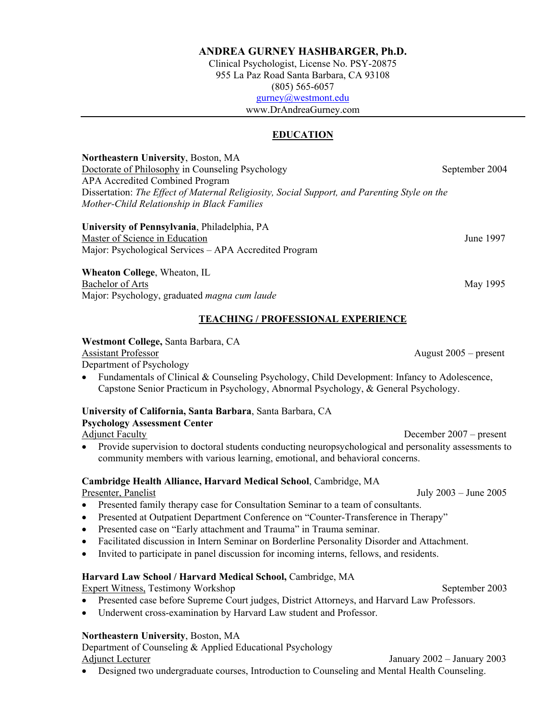### **ANDREA GURNEY HASHBARGER, Ph.D.**

Clinical Psychologist, License No. PSY-20875 955 La Paz Road Santa Barbara, CA 93108 (805) 565-6057 [gurney@westmont.edu](mailto:gurney@westmont.edu) www.DrAndreaGurney.com

# **EDUCATION**

**Northeastern University**, Boston, MA Doctorate of Philosophy in Counseling Psychology September 2004 APA Accredited Combined Program Dissertation: *The Effect of Maternal Religiosity, Social Support, and Parenting Style on the Mother-Child Relationship in Black Families* 

**University of Pennsylvania**, Philadelphia, PA Master of Science in Education **Immediately** 1997 Major: Psychological Services – APA Accredited Program

**Wheaton College**, Wheaton, IL Bachelor of Arts May 1995 Major: Psychology, graduated *magna cum laude*

### **TEACHING / PROFESSIONAL EXPERIENCE**

### **Westmont College,** Santa Barbara, CA

### Assistant Professor August 2005 – present

Department of Psychology

• Fundamentals of Clinical & Counseling Psychology, Child Development: Infancy to Adolescence, Capstone Senior Practicum in Psychology, Abnormal Psychology, & General Psychology.

### **University of California, Santa Barbara**, Santa Barbara, CA

#### **Psychology Assessment Center**

Adjunct Faculty December 2007 – present

• Provide supervision to doctoral students conducting neuropsychological and personality assessments to community members with various learning, emotional, and behavioral concerns.

### **Cambridge Health Alliance, Harvard Medical School**, Cambridge, MA

Presenter, Panelist July 2003 – June 2005

- Presented family therapy case for Consultation Seminar to a team of consultants.
- Presented at Outpatient Department Conference on "Counter-Transference in Therapy"
- Presented case on "Early attachment and Trauma" in Trauma seminar.
- Facilitated discussion in Intern Seminar on Borderline Personality Disorder and Attachment.
- Invited to participate in panel discussion for incoming interns, fellows, and residents.

### **Harvard Law School / Harvard Medical School,** Cambridge, MA

Expert Witness, Testimony Workshop September 2003

- Presented case before Supreme Court judges, District Attorneys, and Harvard Law Professors.
- Underwent cross-examination by Harvard Law student and Professor.

### **Northeastern University**, Boston, MA

Department of Counseling & Applied Educational Psychology Adjunct Lecturer January 2002 – January 2003

• Designed two undergraduate courses, Introduction to Counseling and Mental Health Counseling.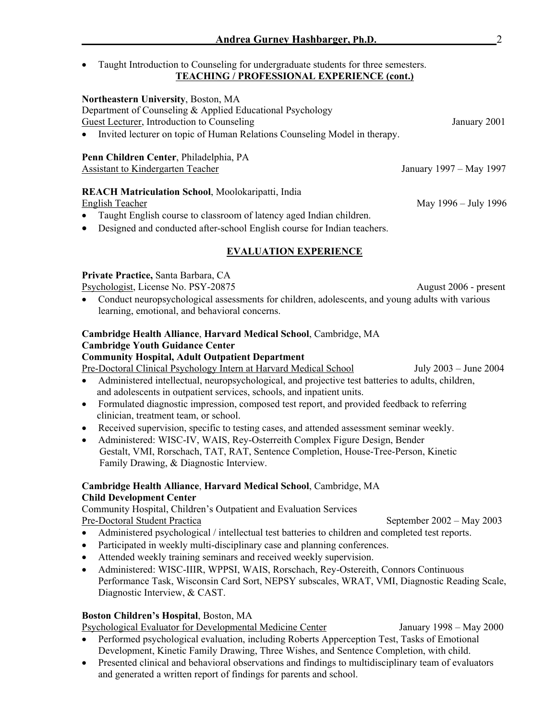• Taught Introduction to Counseling for undergraduate students for three semesters. **TEACHING / PROFESSIONAL EXPERIENCE (cont.)**

# **Northeastern University**, Boston, MA

Department of Counseling & Applied Educational Psychology

Guest Lecturer, Introduction to Counseling January 2001

• Invited lecturer on topic of Human Relations Counseling Model in therapy.

# **Penn Children Center**, Philadelphia, PA

Assistant to Kindergarten Teacher January 1997 – May 1997

# **REACH Matriculation School**, Moolokaripatti, India

• Taught English course to classroom of latency aged Indian children.

• Designed and conducted after-school English course for Indian teachers.

# **EVALUATION EXPERIENCE**

# **Private Practice,** Santa Barbara, CA

Psychologist, License No. PSY-20875 August 2006 - present

• Conduct neuropsychological assessments for children, adolescents, and young adults with various learning, emotional, and behavioral concerns.

### **Cambridge Health Alliance**, **Harvard Medical School**, Cambridge, MA **Cambridge Youth Guidance Center**

# **Community Hospital, Adult Outpatient Department**

Pre-Doctoral Clinical Psychology Intern at Harvard Medical School July 2003 – June 2004

- Administered intellectual, neuropsychological, and projective test batteries to adults, children, and adolescents in outpatient services, schools, and inpatient units.
- Formulated diagnostic impression, composed test report, and provided feedback to referring clinician, treatment team, or school.
- Received supervision, specific to testing cases, and attended assessment seminar weekly.
- Administered: WISC-IV, WAIS, Rey-Osterreith Complex Figure Design, Bender Gestalt, VMI, Rorschach, TAT, RAT, Sentence Completion, House-Tree-Person, Kinetic Family Drawing, & Diagnostic Interview.

# **Cambridge Health Alliance**, **Harvard Medical School**, Cambridge, MA **Child Development Center**

Community Hospital, Children's Outpatient and Evaluation Services Pre-Doctoral Student Practica September 2002 – May 2003

- Administered psychological / intellectual test batteries to children and completed test reports.
- Participated in weekly multi-disciplinary case and planning conferences.
- Attended weekly training seminars and received weekly supervision.
- Administered: WISC-IIIR, WPPSI, WAIS, Rorschach, Rey-Ostereith, Connors Continuous Performance Task, Wisconsin Card Sort, NEPSY subscales, WRAT, VMI, Diagnostic Reading Scale, Diagnostic Interview, & CAST.

# **Boston Children's Hospital**, Boston, MA

Psychological Evaluator for Developmental Medicine Center January 1998 – May 2000

- Performed psychological evaluation, including Roberts Apperception Test, Tasks of Emotional Development, Kinetic Family Drawing, Three Wishes, and Sentence Completion, with child.
- Presented clinical and behavioral observations and findings to multidisciplinary team of evaluators and generated a written report of findings for parents and school.

English Teacher May 1996 – July 1996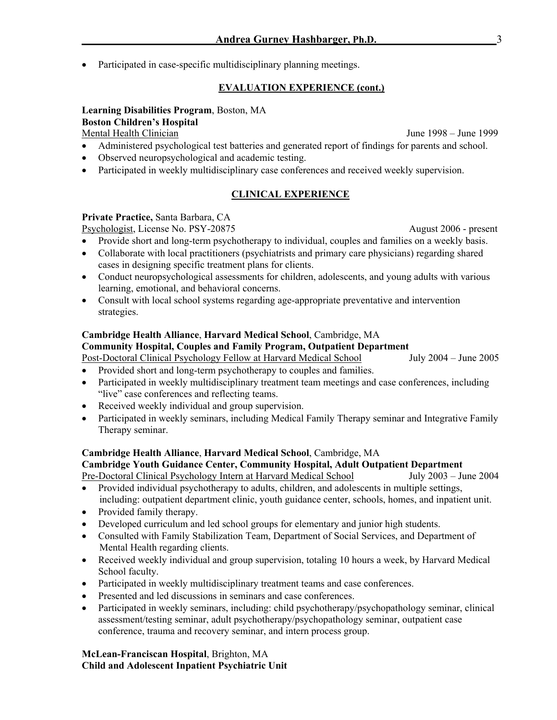• Participated in case-specific multidisciplinary planning meetings.

# **EVALUATION EXPERIENCE (cont.)**

# **Learning Disabilities Program**, Boston, MA **Boston Children's Hospital**

Mental Health Clinician June 1998 – June 1999

- Administered psychological test batteries and generated report of findings for parents and school.
- Observed neuropsychological and academic testing.
- Participated in weekly multidisciplinary case conferences and received weekly supervision.

# **CLINICAL EXPERIENCE**

# **Private Practice,** Santa Barbara, CA

Psychologist, License No. PSY-20875 August 2006 - present

- Provide short and long-term psychotherapy to individual, couples and families on a weekly basis.
- Collaborate with local practitioners (psychiatrists and primary care physicians) regarding shared cases in designing specific treatment plans for clients.
- Conduct neuropsychological assessments for children, adolescents, and young adults with various learning, emotional, and behavioral concerns.
- Consult with local school systems regarding age-appropriate preventative and intervention strategies.

# **Cambridge Health Alliance**, **Harvard Medical School**, Cambridge, MA

# **Community Hospital, Couples and Family Program, Outpatient Department**

- Post-Doctoral Clinical Psychology Fellow at Harvard Medical School July 2004 June 2005 • Provided short and long-term psychotherapy to couples and families.
- Participated in weekly multidisciplinary treatment team meetings and case conferences, including "live" case conferences and reflecting teams.
- Received weekly individual and group supervision.
- Participated in weekly seminars, including Medical Family Therapy seminar and Integrative Family Therapy seminar.

# **Cambridge Health Alliance**, **Harvard Medical School**, Cambridge, MA

# **Cambridge Youth Guidance Center, Community Hospital, Adult Outpatient Department**

Pre-Doctoral Clinical Psychology Intern at Harvard Medical School July 2003 – June 2004 • Provided individual psychotherapy to adults, children, and adolescents in multiple settings,

- including: outpatient department clinic, youth guidance center, schools, homes, and inpatient unit.
- Provided family therapy.
- Developed curriculum and led school groups for elementary and junior high students.
- Consulted with Family Stabilization Team, Department of Social Services, and Department of Mental Health regarding clients.
- Received weekly individual and group supervision, totaling 10 hours a week, by Harvard Medical School faculty.
- Participated in weekly multidisciplinary treatment teams and case conferences.
- Presented and led discussions in seminars and case conferences.
- Participated in weekly seminars, including: child psychotherapy/psychopathology seminar, clinical assessment/testing seminar, adult psychotherapy/psychopathology seminar, outpatient case conference, trauma and recovery seminar, and intern process group.

**McLean-Franciscan Hospital**, Brighton, MA **Child and Adolescent Inpatient Psychiatric Unit**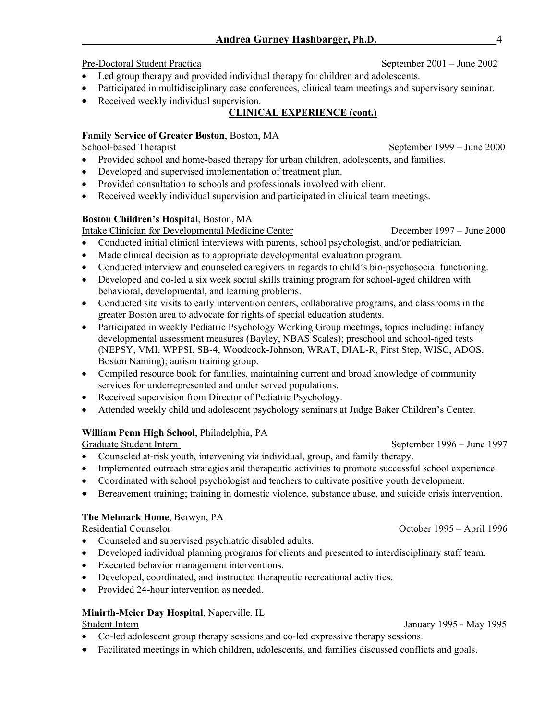# Pre-Doctoral Student Practica September 2001 – June 2002

- Led group therapy and provided individual therapy for children and adolescents.
- Participated in multidisciplinary case conferences, clinical team meetings and supervisory seminar.
- Received weekly individual supervision.

# **CLINICAL EXPERIENCE (cont.)**

# **Family Service of Greater Boston**, Boston, MA

School-based Therapist September 1999 – June 2000

- Provided school and home-based therapy for urban children, adolescents, and families.
- Developed and supervised implementation of treatment plan.
- Provided consultation to schools and professionals involved with client.
- Received weekly individual supervision and participated in clinical team meetings.

# **Boston Children's Hospital**, Boston, MA

Intake Clinician for Developmental Medicine Center December 1997 – June 2000

- Conducted initial clinical interviews with parents, school psychologist, and/or pediatrician.
- Made clinical decision as to appropriate developmental evaluation program.
- Conducted interview and counseled caregivers in regards to child's bio-psychosocial functioning.
- Developed and co-led a six week social skills training program for school-aged children with behavioral, developmental, and learning problems.
- Conducted site visits to early intervention centers, collaborative programs, and classrooms in the greater Boston area to advocate for rights of special education students.
- Participated in weekly Pediatric Psychology Working Group meetings, topics including: infancy developmental assessment measures (Bayley, NBAS Scales); preschool and school-aged tests (NEPSY, VMI, WPPSI, SB-4, Woodcock-Johnson, WRAT, DIAL-R, First Step, WISC, ADOS, Boston Naming); autism training group.
- Compiled resource book for families, maintaining current and broad knowledge of community services for underrepresented and under served populations.
- Received supervision from Director of Pediatric Psychology.
- Attended weekly child and adolescent psychology seminars at Judge Baker Children's Center.

# **William Penn High School**, Philadelphia, PA

Graduate Student Intern September 1996 – June 1997

- Counseled at-risk youth, intervening via individual, group, and family therapy.
- Implemented outreach strategies and therapeutic activities to promote successful school experience.
- Coordinated with school psychologist and teachers to cultivate positive youth development.
- Bereavement training; training in domestic violence, substance abuse, and suicide crisis intervention.

# **The Melmark Home**, Berwyn, PA

# Residential Counselor October 1995 – April 1996

- Counseled and supervised psychiatric disabled adults.
- Developed individual planning programs for clients and presented to interdisciplinary staff team.
- Executed behavior management interventions.
- Developed, coordinated, and instructed therapeutic recreational activities.
- Provided 24-hour intervention as needed.

# **Minirth-Meier Day Hospital**, Naperville, IL

# Student Intern January 1995 - May 1995

- Co-led adolescent group therapy sessions and co-led expressive therapy sessions.
- Facilitated meetings in which children, adolescents, and families discussed conflicts and goals.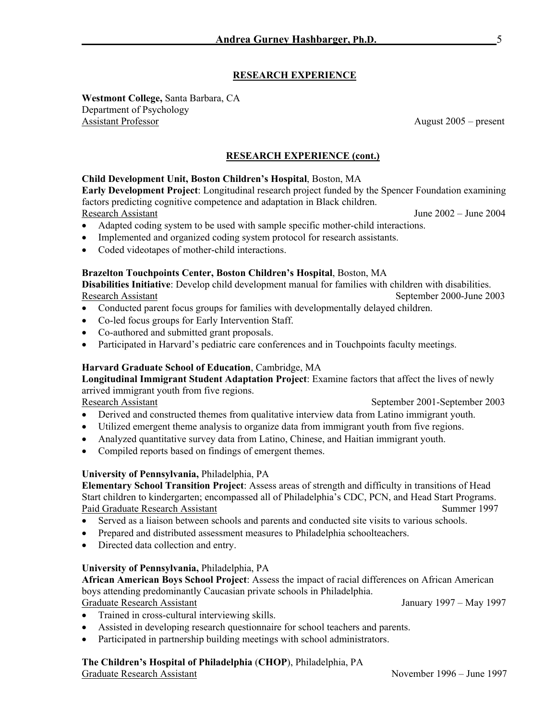# **RESEARCH EXPERIENCE**

**Westmont College,** Santa Barbara, CA Department of Psychology Assistant Professor August 2005 – present

# **RESEARCH EXPERIENCE (cont.)**

### **Child Development Unit, Boston Children's Hospital**, Boston, MA

**Early Development Project**: Longitudinal research project funded by the Spencer Foundation examining factors predicting cognitive competence and adaptation in Black children.

- Research Assistant June 2002 June 2004
- Adapted coding system to be used with sample specific mother-child interactions.
- Implemented and organized coding system protocol for research assistants.
- Coded videotapes of mother-child interactions.

### **Brazelton Touchpoints Center, Boston Children's Hospital**, Boston, MA

**Disabilities Initiative**: Develop child development manual for families with children with disabilities. Research Assistant September 2000-June 2003

- Conducted parent focus groups for families with developmentally delayed children.
- Co-led focus groups for Early Intervention Staff.
- Co-authored and submitted grant proposals.
- Participated in Harvard's pediatric care conferences and in Touchpoints faculty meetings.

### **Harvard Graduate School of Education**, Cambridge, MA

**Longitudinal Immigrant Student Adaptation Project**: Examine factors that affect the lives of newly arrived immigrant youth from five regions.

Research Assistant September 2001-September 2003

- Derived and constructed themes from qualitative interview data from Latino immigrant youth.
- Utilized emergent theme analysis to organize data from immigrant youth from five regions.
- Analyzed quantitative survey data from Latino, Chinese, and Haitian immigrant youth.
- Compiled reports based on findings of emergent themes.

### **University of Pennsylvania,** Philadelphia, PA

**Elementary School Transition Project**: Assess areas of strength and difficulty in transitions of Head Start children to kindergarten; encompassed all of Philadelphia's CDC, PCN, and Head Start Programs. Paid Graduate Research Assistant Summer 1997

- Served as a liaison between schools and parents and conducted site visits to various schools.
- Prepared and distributed assessment measures to Philadelphia schoolteachers.
- Directed data collection and entry.

### **University of Pennsylvania,** Philadelphia, PA

**African American Boys School Project**: Assess the impact of racial differences on African American boys attending predominantly Caucasian private schools in Philadelphia. Graduate Research Assistant January 1997 – May 1997

- Trained in cross-cultural interviewing skills.
- Assisted in developing research questionnaire for school teachers and parents.
- Participated in partnership building meetings with school administrators.

### **The Children's Hospital of Philadelphia** (**CHOP**), Philadelphia, PA

Graduate Research Assistant November 1996 – June 1997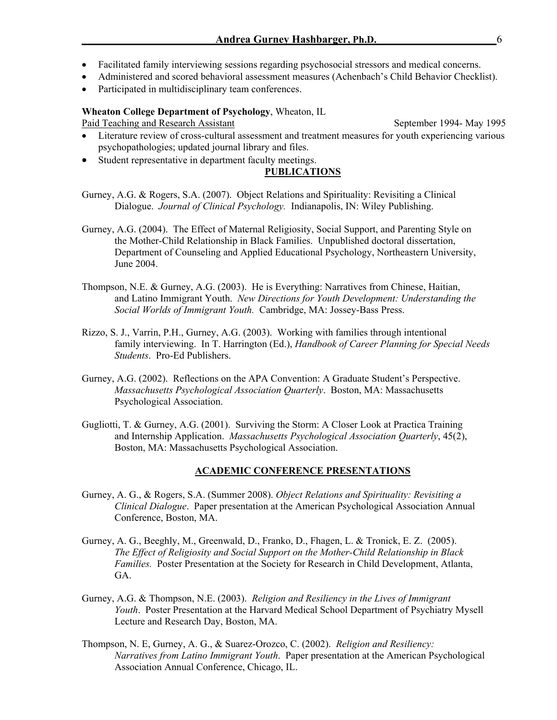- Facilitated family interviewing sessions regarding psychosocial stressors and medical concerns.
- Administered and scored behavioral assessment measures (Achenbach's Child Behavior Checklist).
- Participated in multidisciplinary team conferences.

### **Wheaton College Department of Psychology**, Wheaton, IL

Paid Teaching and Research Assistant September 1994- May 1995

- Literature review of cross-cultural assessment and treatment measures for youth experiencing various psychopathologies; updated journal library and files.
- Student representative in department faculty meetings.

### **PUBLICATIONS**

Gurney, A.G. & Rogers, S.A. (2007). Object Relations and Spirituality: Revisiting a Clinical Dialogue. *Journal of Clinical Psychology.* Indianapolis, IN: Wiley Publishing.

- Gurney, A.G. (2004). The Effect of Maternal Religiosity, Social Support, and Parenting Style on the Mother-Child Relationship in Black Families. Unpublished doctoral dissertation, Department of Counseling and Applied Educational Psychology, Northeastern University, June 2004.
- Thompson, N.E. & Gurney, A.G. (2003). He is Everything: Narratives from Chinese, Haitian, and Latino Immigrant Youth. *New Directions for Youth Development: Understanding the Social Worlds of Immigrant Youth.* Cambridge, MA: Jossey-Bass Press.
- Rizzo, S. J., Varrin, P.H., Gurney, A.G. (2003). Working with families through intentional family interviewing. In T. Harrington (Ed.), *Handbook of Career Planning for Special Needs Students*. Pro-Ed Publishers.
- Gurney, A.G. (2002). Reflections on the APA Convention: A Graduate Student's Perspective. *Massachusetts Psychological Association Quarterly*. Boston, MA: Massachusetts Psychological Association.
- Gugliotti, T. & Gurney, A.G. (2001). Surviving the Storm: A Closer Look at Practica Training and Internship Application. *Massachusetts Psychological Association Quarterly*, 45(2), Boston, MA: Massachusetts Psychological Association.

### **ACADEMIC CONFERENCE PRESENTATIONS**

- Gurney, A. G., & Rogers, S.A. (Summer 2008). *Object Relations and Spirituality: Revisiting a Clinical Dialogue*. Paper presentation at the American Psychological Association Annual Conference, Boston, MA.
- Gurney, A. G., Beeghly, M., Greenwald, D., Franko, D., Fhagen, L. & Tronick, E. Z. (2005). *The Effect of Religiosity and Social Support on the Mother-Child Relationship in Black Families.* Poster Presentation at the Society for Research in Child Development, Atlanta, GA.
- Gurney, A.G. & Thompson, N.E. (2003). *Religion and Resiliency in the Lives of Immigrant Youth*. Poster Presentation at the Harvard Medical School Department of Psychiatry Mysell Lecture and Research Day, Boston, MA.
- Thompson, N. E, Gurney, A. G., & Suarez-Orozco, C. (2002). *Religion and Resiliency: Narratives from Latino Immigrant Youth*. Paper presentation at the American Psychological Association Annual Conference, Chicago, IL.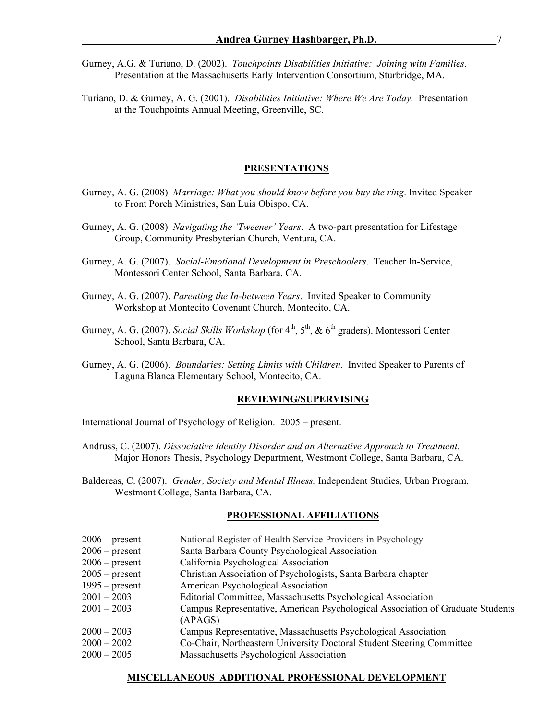Gurney, A.G. & Turiano, D. (2002). *Touchpoints Disabilities Initiative: Joining with Families*. Presentation at the Massachusetts Early Intervention Consortium, Sturbridge, MA.

Turiano, D. & Gurney, A. G. (2001). *Disabilities Initiative: Where We Are Today.* Presentation at the Touchpoints Annual Meeting, Greenville, SC.

#### **PRESENTATIONS**

- Gurney, A. G. (2008) *Marriage: What you should know before you buy the ring*. Invited Speaker to Front Porch Ministries, San Luis Obispo, CA.
- Gurney, A. G. (2008) *Navigating the 'Tweener' Years*. A two-part presentation for Lifestage Group, Community Presbyterian Church, Ventura, CA.
- Gurney, A. G. (2007). *Social-Emotional Development in Preschoolers*. Teacher In-Service, Montessori Center School, Santa Barbara, CA.
- Gurney, A. G. (2007). *Parenting the In-between Years*. Invited Speaker to Community Workshop at Montecito Covenant Church, Montecito, CA.
- Gurney, A. G. (2007). *Social Skills Workshop* (for 4<sup>th</sup>, 5<sup>th</sup>, & 6<sup>th</sup> graders). Montessori Center School, Santa Barbara, CA.
- Gurney, A. G. (2006). *Boundaries: Setting Limits with Children*. Invited Speaker to Parents of Laguna Blanca Elementary School, Montecito, CA.

### **REVIEWING/SUPERVISING**

International Journal of Psychology of Religion. 2005 – present.

- Andruss, C. (2007). *Dissociative Identity Disorder and an Alternative Approach to Treatment.* Major Honors Thesis, Psychology Department, Westmont College, Santa Barbara, CA.
- Baldereas, C. (2007). *Gender, Society and Mental Illness.* Independent Studies, Urban Program, Westmont College, Santa Barbara, CA.

#### **PROFESSIONAL AFFILIATIONS**

| $2006$ – present | National Register of Health Service Providers in Psychology |  |
|------------------|-------------------------------------------------------------|--|
|------------------|-------------------------------------------------------------|--|

- 2006 present Santa Barbara County Psychological Association
- 2006 present California Psychological Association
- 2005 present Christian Association of Psychologists, Santa Barbara chapter
- 1995 present American Psychological Association
- 2001 2003 Editorial Committee, Massachusetts Psychological Association
- 2001 2003 Campus Representative, American Psychological Association of Graduate Students (APAGS)
- 2000 2003 Campus Representative, Massachusetts Psychological Association
- 2000 2002 Co-Chair, Northeastern University Doctoral Student Steering Committee
- 2000 2005 Massachusetts Psychological Association

### **MISCELLANEOUS ADDITIONAL PROFESSIONAL DEVELOPMENT**